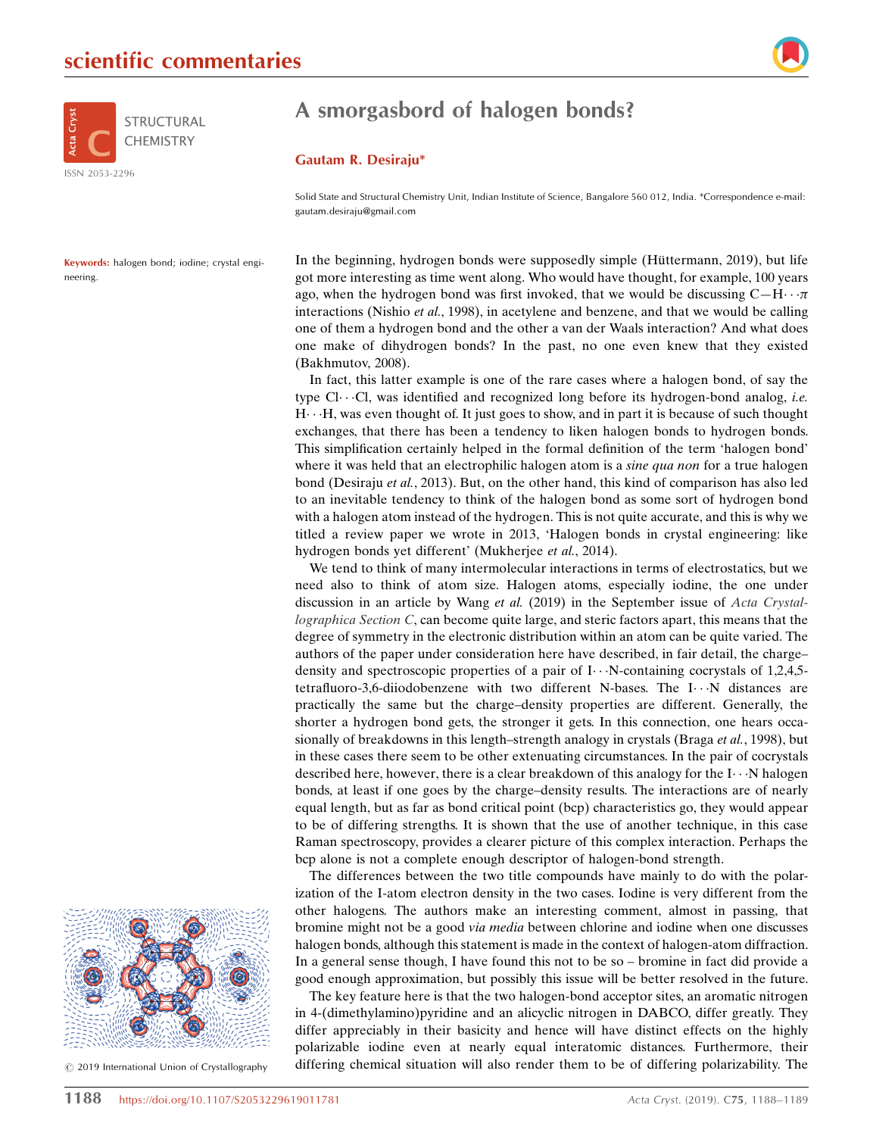



Keywords: halogen bond; iodine; crystal engineering.

## A smorgasbord of halogen bonds?

## Gautam R. Desiraju\*

Solid State and Structural Chemistry Unit, Indian Institute of Science, Bangalore 560 012, India. \*Correspondence e-mail: gautam.desiraju@gmail.com

In the beginning, hydrogen bonds were supposedly simple (Hüttermann, 2019), but life got more interesting as time went along. Who would have thought, for example, 100 years ago, when the hydrogen bond was first invoked, that we would be discussing  $C-H\cdots \pi$ interactions (Nishio *et al.*, 1998), in acetylene and benzene, and that we would be calling one of them a hydrogen bond and the other a van der Waals interaction? And what does one make of dihydrogen bonds? In the past, no one even knew that they existed (Bakhmutov, 2008).

In fact, this latter example is one of the rare cases where a halogen bond, of say the type Cl $\cdots$ Cl, was identified and recognized long before its hydrogen-bond analog, i.e. H · · · H, was even thought of. It just goes to show, and in part it is because of such thought exchanges, that there has been a tendency to liken halogen bonds to hydrogen bonds. This simplification certainly helped in the formal definition of the term 'halogen bond' where it was held that an electrophilic halogen atom is a *sine qua non* for a true halogen bond (Desiraju et al., 2013). But, on the other hand, this kind of comparison has also led to an inevitable tendency to think of the halogen bond as some sort of hydrogen bond with a halogen atom instead of the hydrogen. This is not quite accurate, and this is why we titled a review paper we wrote in 2013, 'Halogen bonds in crystal engineering: like hydrogen bonds yet different' (Mukherjee et al., 2014).

We tend to think of many intermolecular interactions in terms of electrostatics, but we need also to think of atom size. Halogen atoms, especially iodine, the one under discussion in an article by Wang et al. (2019) in the September issue of Acta Crystallographica Section C, can become quite large, and steric factors apart, this means that the degree of symmetry in the electronic distribution within an atom can be quite varied. The authors of the paper under consideration here have described, in fair detail, the charge– density and spectroscopic properties of a pair of  $I \cdots N$ -containing cocrystals of 1,2,4,5tetrafluoro-3,6-diiodobenzene with two different N-bases. The I···N distances are practically the same but the charge–density properties are different. Generally, the shorter a hydrogen bond gets, the stronger it gets. In this connection, one hears occasionally of breakdowns in this length-strength analogy in crystals (Braga et al., 1998), but in these cases there seem to be other extenuating circumstances. In the pair of cocrystals described here, however, there is a clear breakdown of this analogy for the  $I \cdots N$  halogen bonds, at least if one goes by the charge–density results. The interactions are of nearly equal length, but as far as bond critical point (bcp) characteristics go, they would appear to be of differing strengths. It is shown that the use of another technique, in this case Raman spectroscopy, provides a clearer picture of this complex interaction. Perhaps the bcp alone is not a complete enough descriptor of halogen-bond strength.

The differences between the two title compounds have mainly to do with the polarization of the I-atom electron density in the two cases. Iodine is very different from the other halogens. The authors make an interesting comment, almost in passing, that bromine might not be a good via media between chlorine and iodine when one discusses halogen bonds, although this statement is made in the context of halogen-atom diffraction. In a general sense though, I have found this not to be so – bromine in fact did provide a good enough approximation, but possibly this issue will be better resolved in the future.

The key feature here is that the two halogen-bond acceptor sites, an aromatic nitrogen in 4-(dimethylamino)pyridine and an alicyclic nitrogen in DABCO, differ greatly. They differ appreciably in their basicity and hence will have distinct effects on the highly polarizable iodine even at nearly equal interatomic distances. Furthermore, their differing chemical situation will also render them to be of differing polarizability. The



 $\odot$  2019 International Union of Crystallography